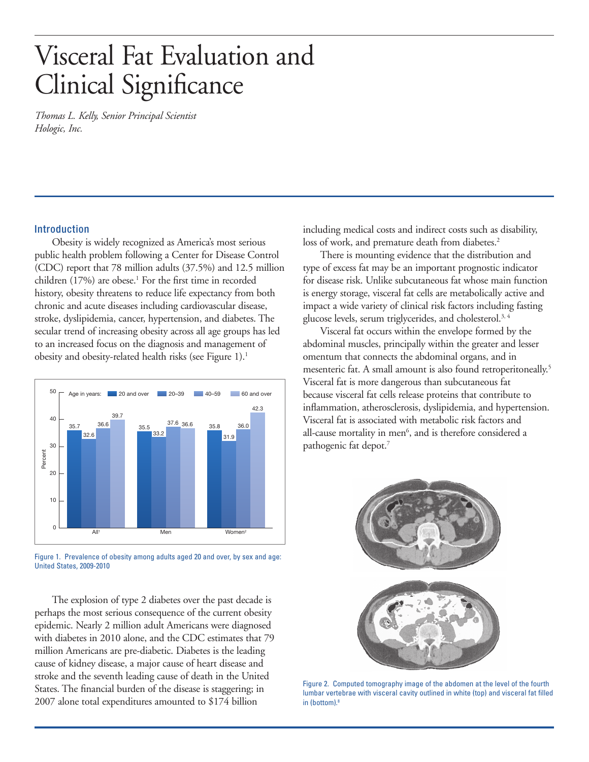# Visceral Fat Evaluation and Clinical Significance

*Thomas L. Kelly, Senior Principal Scientist Hologic, Inc.*

# Introduction

Obesity is widely recognized as America's most serious public health problem following a Center for Disease Control (CDC) report that 78 million adults (37.5%) and 12.5 million children (17%) are obese.<sup>1</sup> For the first time in recorded history, obesity threatens to reduce life expectancy from both chronic and acute diseases including cardiovascular disease, stroke, dyslipidemia, cancer, hypertension, and diabetes. The secular trend of increasing obesity across all age groups has led to an increased focus on the diagnosis and management of obesity and obesity-related health risks (see Figure 1).1



Figure 1. Prevalence of obesity among adults aged 20 and over, by sex and age: United States, 2009-2010

The explosion of type 2 diabetes over the past decade is perhaps the most serious consequence of the current obesity epidemic. Nearly 2 million adult Americans were diagnosed with diabetes in 2010 alone, and the CDC estimates that 79 million Americans are pre-diabetic. Diabetes is the leading cause of kidney disease, a major cause of heart disease and stroke and the seventh leading cause of death in the United States. The financial burden of the disease is staggering; in 2007 alone total expenditures amounted to \$174 billion

including medical costs and indirect costs such as disability, loss of work, and premature death from diabetes.<sup>2</sup>

There is mounting evidence that the distribution and type of excess fat may be an important prognostic indicator for disease risk. Unlike subcutaneous fat whose main function is energy storage, visceral fat cells are metabolically active and impact a wide variety of clinical risk factors including fasting glucose levels, serum triglycerides, and cholesterol.3, 4

Visceral fat occurs within the envelope formed by the abdominal muscles, principally within the greater and lesser omentum that connects the abdominal organs, and in mesenteric fat. A small amount is also found retroperitoneally.<sup>5</sup> Visceral fat is more dangerous than subcutaneous fat because visceral fat cells release proteins that contribute to inflammation, atherosclerosis, dyslipidemia, and hypertension. Visceral fat is associated with metabolic risk factors and all-cause mortality in men<sup>6</sup>, and is therefore considered a pathogenic fat depot.<sup>7</sup>



Figure 2. Computed tomography image of the abdomen at the level of the fourth lumbar vertebrae with visceral cavity outlined in white (top) and visceral fat filled in (bottom).8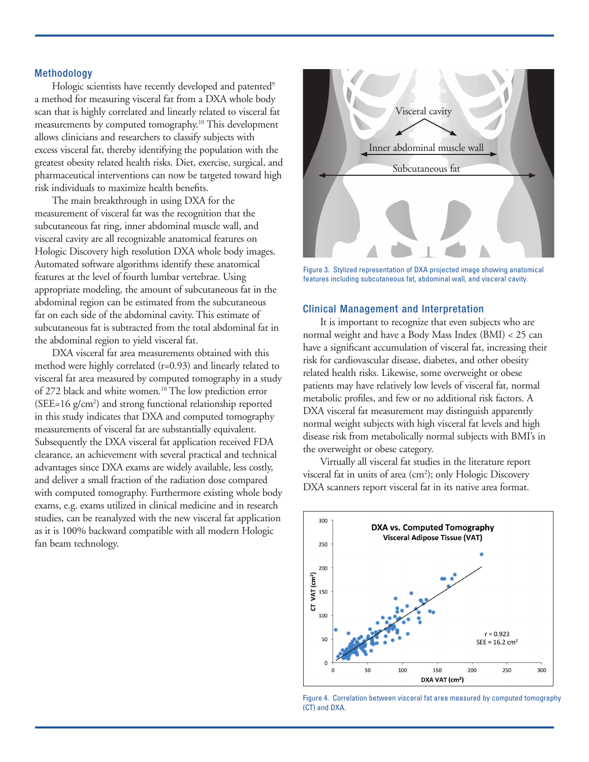## **Methodology**

Hologic scientists have recently developed and patented<sup>9</sup> a method for measuring visceral fat from a DXA whole body scan that is highly correlated and linearly related to visceral fat measurements by computed tomography.10 This development allows clinicians and researchers to classify subjects with excess visceral fat, thereby identifying the population with the greatest obesity related health risks. Diet, exercise, surgical, and pharmaceutical interventions can now be targeted toward high risk individuals to maximize health benefits.

The main breakthrough in using DXA for the measurement of visceral fat was the recognition that the subcutaneous fat ring, inner abdominal muscle wall, and visceral cavity are all recognizable anatomical features on Hologic Discovery high resolution DXA whole body images. Automated software algorithms identify these anatomical features at the level of fourth lumbar vertebrae. Using appropriate modeling, the amount of subcutaneous fat in the abdominal region can be estimated from the subcutaneous fat on each side of the abdominal cavity. This estimate of subcutaneous fat is subtracted from the total abdominal fat in the abdominal region to yield visceral fat.

DXA visceral fat area measurements obtained with this method were highly correlated (r=0.93) and linearly related to visceral fat area measured by computed tomography in a study of 272 black and white women.<sup>10</sup> The low prediction error (SEE=16 g/cm2 ) and strong functional relationship reported in this study indicates that DXA and computed tomography measurements of visceral fat are substantially equivalent. Subsequently the DXA visceral fat application received FDA clearance, an achievement with several practical and technical advantages since DXA exams are widely available, less costly, and deliver a small fraction of the radiation dose compared with computed tomography. Furthermore existing whole body exams, e.g. exams utilized in clinical medicine and in research studies, can be reanalyzed with the new visceral fat application as it is 100% backward compatible with all modern Hologic fan beam technology.



Figure 3. Stylized representation of DXA projected image showing anatomical features including subcutaneous fat, abdominal wall, and visceral cavity.

# Clinical Management and Interpretation

It is important to recognize that even subjects who are normal weight and have a Body Mass Index (BMI) < 25 can have a significant accumulation of visceral fat, increasing their risk for cardiovascular disease, diabetes, and other obesity related health risks. Likewise, some overweight or obese patients may have relatively low levels of visceral fat, normal metabolic profiles, and few or no additional risk factors. A DXA visceral fat measurement may distinguish apparently normal weight subjects with high visceral fat levels and high disease risk from metabolically normal subjects with BMI's in the overweight or obese category.

Virtually all visceral fat studies in the literature report visceral fat in units of area (cm<sup>2</sup>); only Hologic Discovery DXA scanners report visceral fat in its native area format.



Figure 4. Correlation between visceral fat area measured by computed tomography (CT) and DXA.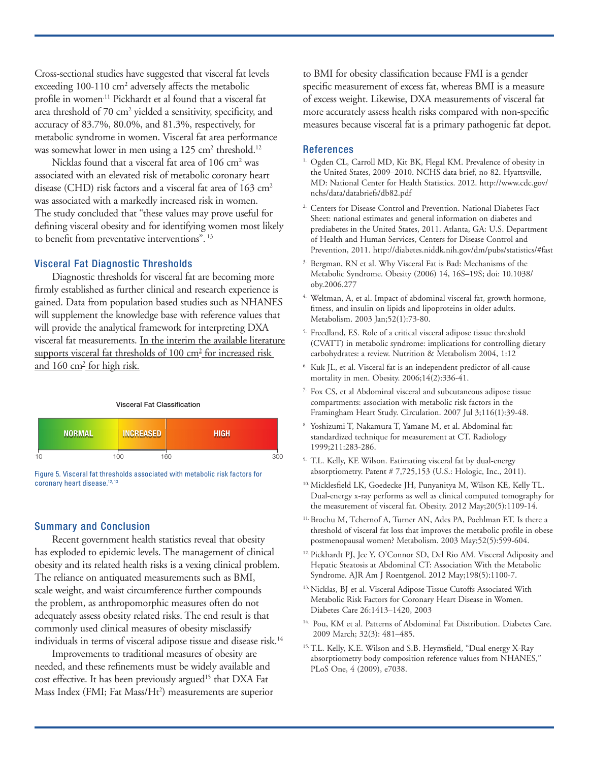Cross-sectional studies have suggested that visceral fat levels exceeding 100-110 cm<sup>2</sup> adversely affects the metabolic profile in women.<sup>11</sup> Pickhardt et al found that a visceral fat area threshold of 70 cm<sup>2</sup> yielded a sensitivity, specificity, and accuracy of 83.7%, 80.0%, and 81.3%, respectively, for metabolic syndrome in women. Visceral fat area performance was somewhat lower in men using a 125 cm<sup>2</sup> threshold.<sup>12</sup>

Nicklas found that a visceral fat area of 106 cm<sup>2</sup> was associated with an elevated risk of metabolic coronary heart disease (CHD) risk factors and a visceral fat area of 163 cm<sup>2</sup> was associated with a markedly increased risk in women. The study concluded that "these values may prove useful for defining visceral obesity and for identifying women most likely to benefit from preventative interventions".  $^{13}$ 

# Visceral Fat Diagnostic Thresholds

Diagnostic thresholds for visceral fat are becoming more firmly established as further clinical and research experience is gained. Data from population based studies such as NHANES will supplement the knowledge base with reference values that will provide the analytical framework for interpreting DXA visceral fat measurements. In the interim the available literature supports visceral fat thresholds of 100 cm<sup>2</sup> for increased risk and 160 cm<sup>2</sup> for high risk.

#### Visceral Fat Classification



Figure 5. Visceral fat thresholds associated with metabolic risk factors for coronary heart disease.<sup>12, 13</sup>

## Summary and Conclusion

Recent government health statistics reveal that obesity has exploded to epidemic levels. The management of clinical obesity and its related health risks is a vexing clinical problem. The reliance on antiquated measurements such as BMI, scale weight, and waist circumference further compounds the problem, as anthropomorphic measures often do not adequately assess obesity related risks. The end result is that commonly used clinical measures of obesity misclassify individuals in terms of visceral adipose tissue and disease risk.<sup>14</sup>

Improvements to traditional measures of obesity are needed, and these refinements must be widely available and cost effective. It has been previously argued<sup>15</sup> that DXA Fat Mass Index (FMI; Fat Mass/Ht<sup>2</sup>) measurements are superior to BMI for obesity classification because FMI is a gender specific measurement of excess fat, whereas BMI is a measure of excess weight. Likewise, DXA measurements of visceral fat more accurately assess health risks compared with non-specific measures because visceral fat is a primary pathogenic fat depot.

## References

- <sup>1.</sup> Ogden CL, Carroll MD, Kit BK, Flegal KM. Prevalence of obesity in the United States, 2009–2010. NCHS data brief, no 82. Hyattsville, MD: National Center for Health Statistics. 2012. http://www.cdc.gov/ nchs/data/databriefs/db82.pdf
- <sup>2.</sup> Centers for Disease Control and Prevention. National Diabetes Fact Sheet: national estimates and general information on diabetes and prediabetes in the United States, 2011. Atlanta, GA: U.S. Department of Health and Human Services, Centers for Disease Control and Prevention, 2011. http://diabetes.niddk.nih.gov/dm/pubs/statistics/#fast
- Bergman, RN et al. Why Visceral Fat is Bad: Mechanisms of the Metabolic Syndrome. Obesity (2006) 14, 16S–19S; doi: 10.1038/ oby.2006.277
- <sup>4.</sup> Weltman, A, et al. Impact of abdominal visceral fat, growth hormone, fitness, and insulin on lipids and lipoproteins in older adults. Metabolism. 2003 Jan;52(1):73-80.
- 5. Freedland, ES. Role of a critical visceral adipose tissue threshold (CVATT) in metabolic syndrome: implications for controlling dietary carbohydrates: a review. Nutrition & Metabolism 2004, 1:12
- 6. Kuk JL, et al. Visceral fat is an independent predictor of all-cause mortality in men. Obesity. 2006;14(2):336-41.
- <sup>7.</sup> Fox CS, et al Abdominal visceral and subcutaneous adipose tissue compartments: association with metabolic risk factors in the Framingham Heart Study. Circulation. 2007 Jul 3;116(1):39-48.
- Yoshizumi T, Nakamura T, Yamane M, et al. Abdominal fat: standardized technique for measurement at CT. Radiology 1999;211:283-286.
- 9. T.L. Kelly, KE Wilson. Estimating visceral fat by dual-energy absorptiometry. Patent # 7,725,153 (U.S.: Hologic, Inc., 2011).
- <sup>10.</sup> Micklesfield LK, Goedecke JH, Punyanitya M, Wilson KE, Kelly TL. Dual-energy x-ray performs as well as clinical computed tomography for the measurement of visceral fat. Obesity. 2012 May;20(5):1109-14.
- 11. Brochu M, Tchernof A, Turner AN, Ades PA, Poehlman ET. Is there a threshold of visceral fat loss that improves the metabolic profile in obese postmenopausal women? Metabolism. 2003 May;52(5):599-604.
- 12. Pickhardt PJ, Jee Y, O'Connor SD, Del Rio AM. Visceral Adiposity and Hepatic Steatosis at Abdominal CT: Association With the Metabolic Syndrome. AJR Am J Roentgenol. 2012 May;198(5):1100-7.
- <sup>13.</sup> Nicklas, BJ et al. Visceral Adipose Tissue Cutoffs Associated With Metabolic Risk Factors for Coronary Heart Disease in Women. Diabetes Care 26:1413–1420, 2003
- <sup>14.</sup> Pou, KM et al. Patterns of Abdominal Fat Distribution. Diabetes Care. 2009 March; 32(3): 481–485.
- <sup>15.</sup> T.L. Kelly, K.E. Wilson and S.B. Heymsfield, "Dual energy X-Ray absorptiometry body composition reference values from NHANES," PLoS One, 4 (2009), e7038.